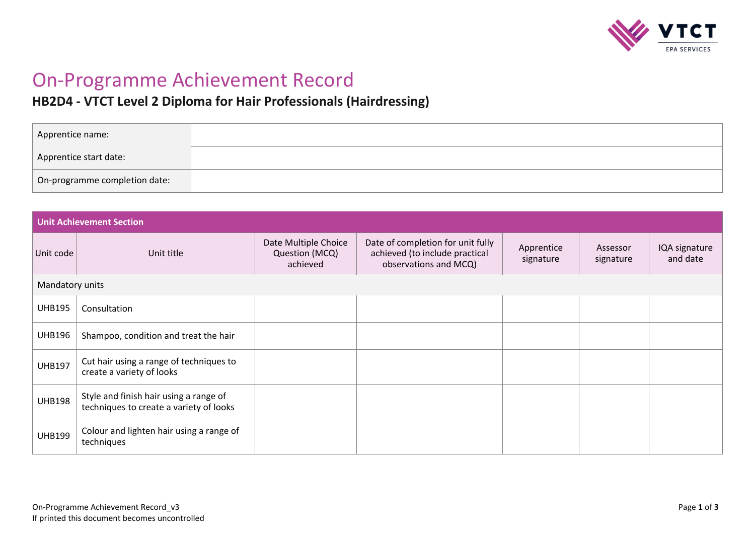

# On-Programme Achievement Record

# **HB2D4 - VTCT Level 2 Diploma for Hair Professionals (Hairdressing)**

| Apprentice name:              |  |
|-------------------------------|--|
| Apprentice start date:        |  |
| On-programme completion date: |  |

| <b>Unit Achievement Section</b> |                                                                                   |                                                    |                                                                                              |                         |                       |                           |
|---------------------------------|-----------------------------------------------------------------------------------|----------------------------------------------------|----------------------------------------------------------------------------------------------|-------------------------|-----------------------|---------------------------|
| Unit code                       | Unit title                                                                        | Date Multiple Choice<br>Question (MCQ)<br>achieved | Date of completion for unit fully<br>achieved (to include practical<br>observations and MCQ) | Apprentice<br>signature | Assessor<br>signature | IQA signature<br>and date |
|                                 | Mandatory units                                                                   |                                                    |                                                                                              |                         |                       |                           |
| <b>UHB195</b>                   | Consultation                                                                      |                                                    |                                                                                              |                         |                       |                           |
| <b>UHB196</b>                   | Shampoo, condition and treat the hair                                             |                                                    |                                                                                              |                         |                       |                           |
| <b>UHB197</b>                   | Cut hair using a range of techniques to<br>create a variety of looks              |                                                    |                                                                                              |                         |                       |                           |
| <b>UHB198</b>                   | Style and finish hair using a range of<br>techniques to create a variety of looks |                                                    |                                                                                              |                         |                       |                           |
| <b>UHB199</b>                   | Colour and lighten hair using a range of<br>techniques                            |                                                    |                                                                                              |                         |                       |                           |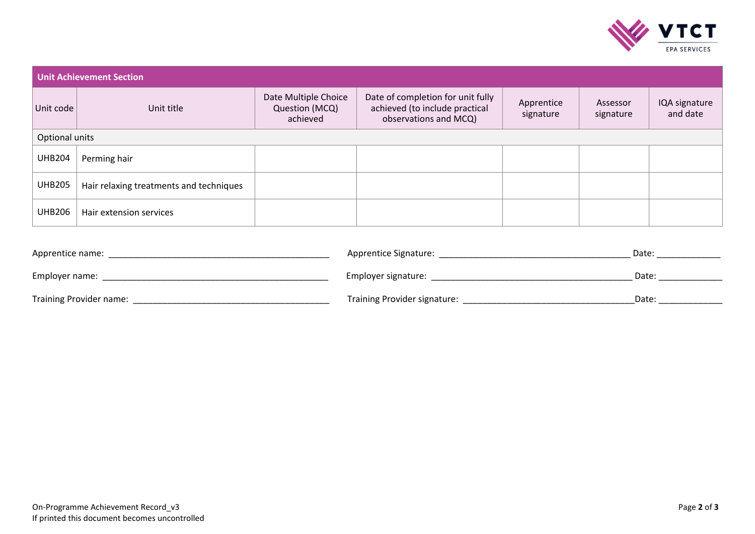

| <b>Unit Achievement Section</b> |                                         |                                                    |                                                                                              |                         |                       |                           |
|---------------------------------|-----------------------------------------|----------------------------------------------------|----------------------------------------------------------------------------------------------|-------------------------|-----------------------|---------------------------|
| Unit code                       | Unit title                              | Date Multiple Choice<br>Question (MCQ)<br>achieved | Date of completion for unit fully<br>achieved (to include practical<br>observations and MCQ) | Apprentice<br>signature | Assessor<br>signature | IQA signature<br>and date |
| Optional units                  |                                         |                                                    |                                                                                              |                         |                       |                           |
| <b>UHB204</b>                   | Perming hair                            |                                                    |                                                                                              |                         |                       |                           |
| <b>UHB205</b>                   | Hair relaxing treatments and techniques |                                                    |                                                                                              |                         |                       |                           |
| <b>UHB206</b>                   | Hair extension services                 |                                                    |                                                                                              |                         |                       |                           |

| Apprentice name:               | Apprentice Signature:        | Date: |
|--------------------------------|------------------------------|-------|
| Employer name:                 | Employer signature:          | Date: |
| <b>Training Provider name:</b> | Training Provider signature: | Date: |